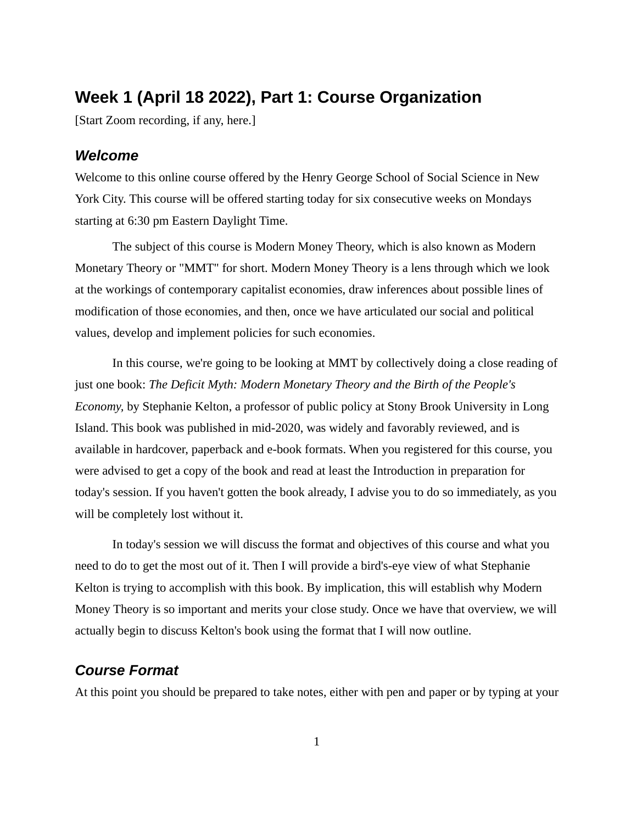# **Week 1 (April 18 2022), Part 1: Course Organization**

[Start Zoom recording, if any, here.]

# *Welcome*

Welcome to this online course offered by the Henry George School of Social Science in New York City. This course will be offered starting today for six consecutive weeks on Mondays starting at 6:30 pm Eastern Daylight Time.

The subject of this course is Modern Money Theory, which is also known as Modern Monetary Theory or "MMT" for short. Modern Money Theory is a lens through which we look at the workings of contemporary capitalist economies, draw inferences about possible lines of modification of those economies, and then, once we have articulated our social and political values, develop and implement policies for such economies.

In this course, we're going to be looking at MMT by collectively doing a close reading of just one book: *The Deficit Myth: Modern Monetary Theory and the Birth of the People's Economy,* by Stephanie Kelton, a professor of public policy at Stony Brook University in Long Island. This book was published in mid-2020, was widely and favorably reviewed, and is available in hardcover, paperback and e-book formats. When you registered for this course, you were advised to get a copy of the book and read at least the Introduction in preparation for today's session. If you haven't gotten the book already, I advise you to do so immediately, as you will be completely lost without it.

In today's session we will discuss the format and objectives of this course and what you need to do to get the most out of it. Then I will provide a bird's-eye view of what Stephanie Kelton is trying to accomplish with this book. By implication, this will establish why Modern Money Theory is so important and merits your close study. Once we have that overview, we will actually begin to discuss Kelton's book using the format that I will now outline.

### *Course Format*

At this point you should be prepared to take notes, either with pen and paper or by typing at your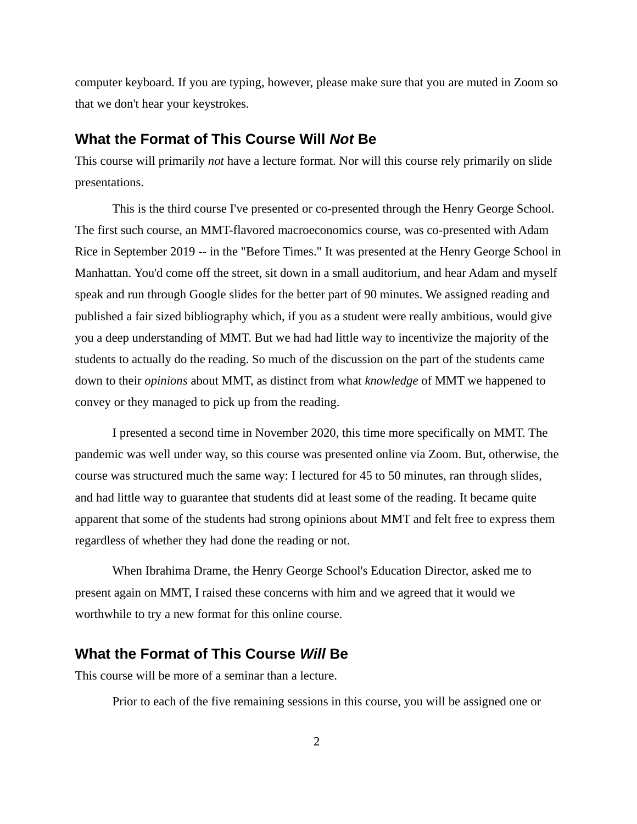computer keyboard. If you are typing, however, please make sure that you are muted in Zoom so that we don't hear your keystrokes.

## **What the Format of This Course Will** *Not* **Be**

This course will primarily *not* have a lecture format. Nor will this course rely primarily on slide presentations.

This is the third course I've presented or co-presented through the Henry George School. The first such course, an MMT-flavored macroeconomics course, was co-presented with Adam Rice in September 2019 -- in the "Before Times." It was presented at the Henry George School in Manhattan. You'd come off the street, sit down in a small auditorium, and hear Adam and myself speak and run through Google slides for the better part of 90 minutes. We assigned reading and published a fair sized bibliography which, if you as a student were really ambitious, would give you a deep understanding of MMT. But we had had little way to incentivize the majority of the students to actually do the reading. So much of the discussion on the part of the students came down to their *opinions* about MMT, as distinct from what *knowledge* of MMT we happened to convey or they managed to pick up from the reading.

I presented a second time in November 2020, this time more specifically on MMT. The pandemic was well under way, so this course was presented online via Zoom. But, otherwise, the course was structured much the same way: I lectured for 45 to 50 minutes, ran through slides, and had little way to guarantee that students did at least some of the reading. It became quite apparent that some of the students had strong opinions about MMT and felt free to express them regardless of whether they had done the reading or not.

When Ibrahima Drame, the Henry George School's Education Director, asked me to present again on MMT, I raised these concerns with him and we agreed that it would we worthwhile to try a new format for this online course.

# **What the Format of This Course** *Will* **Be**

This course will be more of a seminar than a lecture.

Prior to each of the five remaining sessions in this course, you will be assigned one or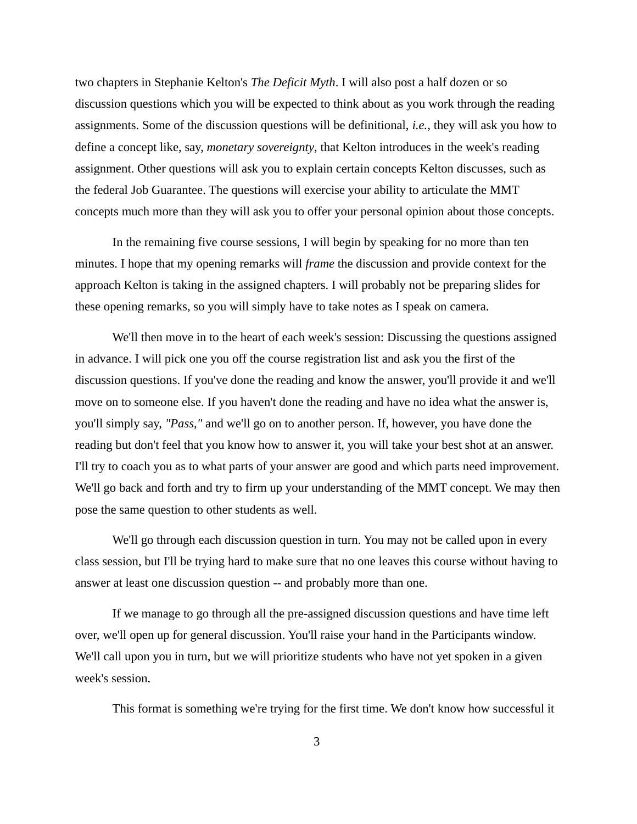two chapters in Stephanie Kelton's *The Deficit Myth*. I will also post a half dozen or so discussion questions which you will be expected to think about as you work through the reading assignments. Some of the discussion questions will be definitional, *i.e.,* they will ask you how to define a concept like, say, *monetary sovereignty*, that Kelton introduces in the week's reading assignment. Other questions will ask you to explain certain concepts Kelton discusses, such as the federal Job Guarantee. The questions will exercise your ability to articulate the MMT concepts much more than they will ask you to offer your personal opinion about those concepts.

In the remaining five course sessions, I will begin by speaking for no more than ten minutes. I hope that my opening remarks will *frame* the discussion and provide context for the approach Kelton is taking in the assigned chapters. I will probably not be preparing slides for these opening remarks, so you will simply have to take notes as I speak on camera.

We'll then move in to the heart of each week's session: Discussing the questions assigned in advance. I will pick one you off the course registration list and ask you the first of the discussion questions. If you've done the reading and know the answer, you'll provide it and we'll move on to someone else. If you haven't done the reading and have no idea what the answer is, you'll simply say, *"Pass,"* and we'll go on to another person. If, however, you have done the reading but don't feel that you know how to answer it, you will take your best shot at an answer. I'll try to coach you as to what parts of your answer are good and which parts need improvement. We'll go back and forth and try to firm up your understanding of the MMT concept. We may then pose the same question to other students as well.

We'll go through each discussion question in turn. You may not be called upon in every class session, but I'll be trying hard to make sure that no one leaves this course without having to answer at least one discussion question -- and probably more than one.

If we manage to go through all the pre-assigned discussion questions and have time left over, we'll open up for general discussion. You'll raise your hand in the Participants window. We'll call upon you in turn, but we will prioritize students who have not yet spoken in a given week's session.

This format is something we're trying for the first time. We don't know how successful it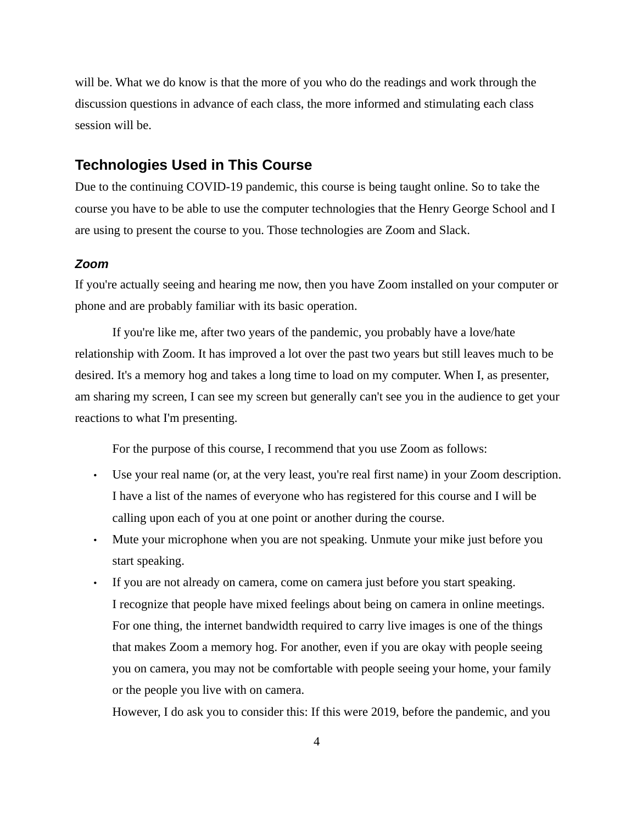will be. What we do know is that the more of you who do the readings and work through the discussion questions in advance of each class, the more informed and stimulating each class session will be.

## **Technologies Used in This Course**

Due to the continuing COVID-19 pandemic, this course is being taught online. So to take the course you have to be able to use the computer technologies that the Henry George School and I are using to present the course to you. Those technologies are Zoom and Slack.

#### *Zoom*

If you're actually seeing and hearing me now, then you have Zoom installed on your computer or phone and are probably familiar with its basic operation.

If you're like me, after two years of the pandemic, you probably have a love/hate relationship with Zoom. It has improved a lot over the past two years but still leaves much to be desired. It's a memory hog and takes a long time to load on my computer. When I, as presenter, am sharing my screen, I can see my screen but generally can't see you in the audience to get your reactions to what I'm presenting.

For the purpose of this course, I recommend that you use Zoom as follows:

- Use your real name (or, at the very least, you're real first name) in your Zoom description. I have a list of the names of everyone who has registered for this course and I will be calling upon each of you at one point or another during the course.
- Mute your microphone when you are not speaking. Unmute your mike just before you start speaking.
- If you are not already on camera, come on camera just before you start speaking. I recognize that people have mixed feelings about being on camera in online meetings. For one thing, the internet bandwidth required to carry live images is one of the things that makes Zoom a memory hog. For another, even if you are okay with people seeing you on camera, you may not be comfortable with people seeing your home, your family or the people you live with on camera.

However, I do ask you to consider this: If this were 2019, before the pandemic, and you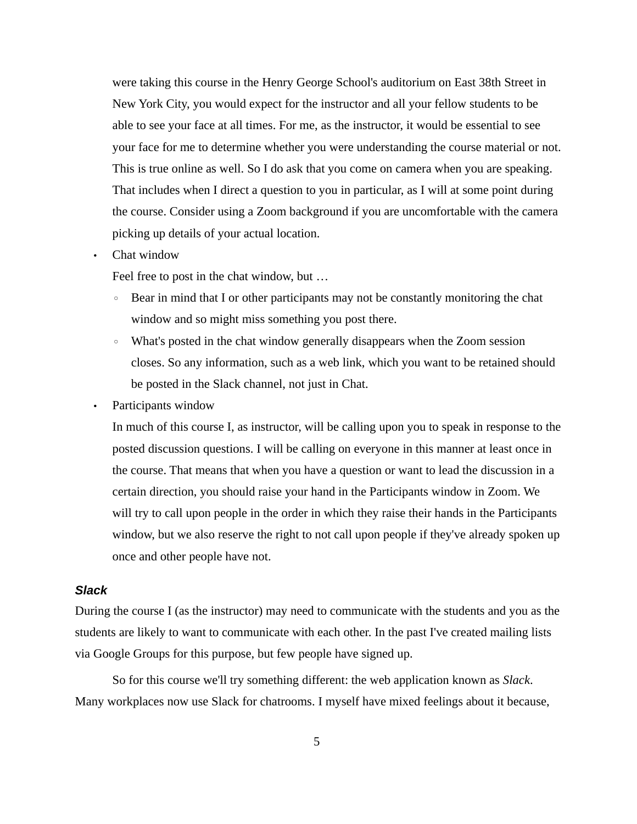were taking this course in the Henry George School's auditorium on East 38th Street in New York City, you would expect for the instructor and all your fellow students to be able to see your face at all times. For me, as the instructor, it would be essential to see your face for me to determine whether you were understanding the course material or not. This is true online as well. So I do ask that you come on camera when you are speaking. That includes when I direct a question to you in particular, as I will at some point during the course. Consider using a Zoom background if you are uncomfortable with the camera picking up details of your actual location.

• Chat window

Feel free to post in the chat window, but …

- Bear in mind that I or other participants may not be constantly monitoring the chat window and so might miss something you post there.
- What's posted in the chat window generally disappears when the Zoom session closes. So any information, such as a web link, which you want to be retained should be posted in the Slack channel, not just in Chat.
- Participants window

In much of this course I, as instructor, will be calling upon you to speak in response to the posted discussion questions. I will be calling on everyone in this manner at least once in the course. That means that when you have a question or want to lead the discussion in a certain direction, you should raise your hand in the Participants window in Zoom. We will try to call upon people in the order in which they raise their hands in the Participants window, but we also reserve the right to not call upon people if they've already spoken up once and other people have not.

#### *Slack*

During the course I (as the instructor) may need to communicate with the students and you as the students are likely to want to communicate with each other. In the past I've created mailing lists via Google Groups for this purpose, but few people have signed up.

So for this course we'll try something different: the web application known as *Slack*. Many workplaces now use Slack for chatrooms. I myself have mixed feelings about it because,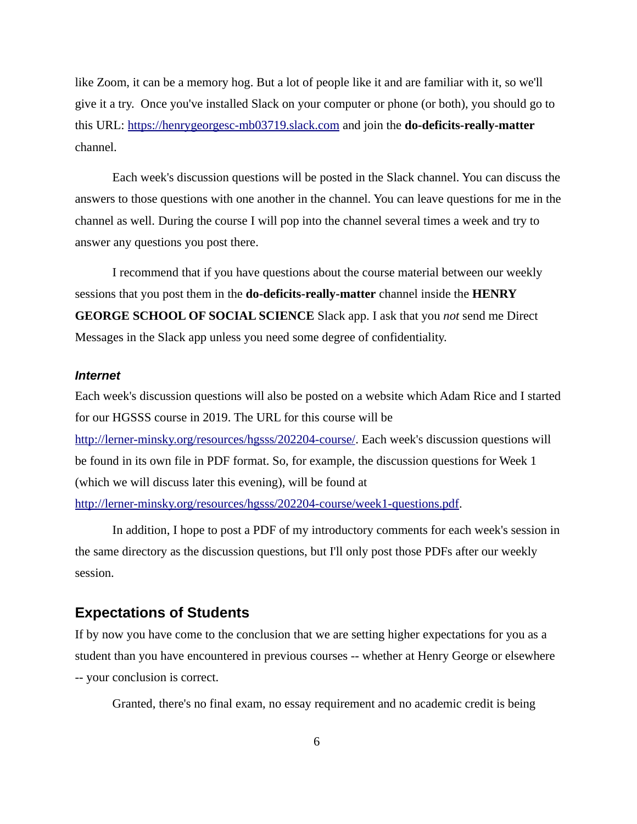like Zoom, it can be a memory hog. But a lot of people like it and are familiar with it, so we'll give it a try. Once you've installed Slack on your computer or phone (or both), you should go to this URL: [https://henrygeorgesc-mb03719.slack.com](https://henrygeorgesc-mb03719.slack.com/) and join the **do-deficits-really-matter** channel.

Each week's discussion questions will be posted in the Slack channel. You can discuss the answers to those questions with one another in the channel. You can leave questions for me in the channel as well. During the course I will pop into the channel several times a week and try to answer any questions you post there.

I recommend that if you have questions about the course material between our weekly sessions that you post them in the **do-deficits-really-matter** channel inside the **HENRY GEORGE SCHOOL OF SOCIAL SCIENCE** Slack app. I ask that you *not* send me Direct Messages in the Slack app unless you need some degree of confidentiality.

#### *Internet*

Each week's discussion questions will also be posted on a website which Adam Rice and I started for our HGSSS course in 2019. The URL for this course will be [http://lerner-minsky.org/resources/hgsss/202204-course/.](http://lerner-minsky.org/resources/hgsss/202204-course/) Each week's discussion questions will be found in its own file in PDF format. So, for example, the discussion questions for Week 1 (which we will discuss later this evening), will be found at <http://lerner-minsky.org/resources/hgsss/202204-course/week1-questions.pdf>.

In addition, I hope to post a PDF of my introductory comments for each week's session in the same directory as the discussion questions, but I'll only post those PDFs after our weekly session.

#### **Expectations of Students**

If by now you have come to the conclusion that we are setting higher expectations for you as a student than you have encountered in previous courses -- whether at Henry George or elsewhere -- your conclusion is correct.

Granted, there's no final exam, no essay requirement and no academic credit is being